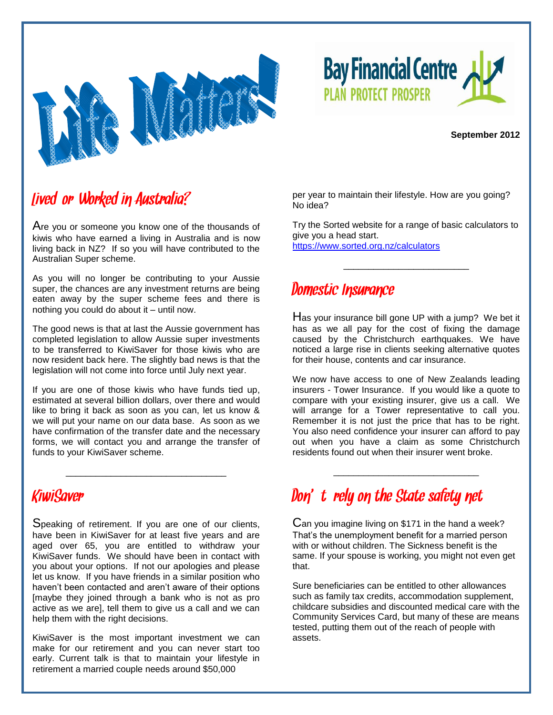



#### **September 2012**

#### Lived or/Worked in Australia?

Are you or someone you know one of the thousands of kiwis who have earned a living in Australia and is now living back in NZ? If so you will have contributed to the Australian Super scheme.

As you will no longer be contributing to your Aussie super, the chances are any investment returns are being eaten away by the super scheme fees and there is nothing you could do about it – until now.

The good news is that at last the Aussie government has completed legislation to allow Aussie super investments to be transferred to KiwiSaver for those kiwis who are now resident back here. The slightly bad news is that the legislation will not come into force until July next year.

If you are one of those kiwis who have funds tied up, estimated at several billion dollars, over there and would like to bring it back as soon as you can, let us know & we will put your name on our data base. As soon as we have confirmation of the transfer date and the necessary forms, we will contact you and arrange the transfer of funds to your KiwiSaver scheme.

\_\_\_\_\_\_\_\_\_\_\_\_\_\_\_\_\_\_\_\_\_\_\_\_\_\_\_\_\_\_\_\_

per year to maintain their lifestyle. How are you going? No idea?

Try the Sorted website for a range of basic calculators to give you a head start.

\_\_\_\_\_\_\_\_\_\_\_\_\_\_\_\_\_\_\_\_\_\_\_\_\_

<https://www.sorted.org.nz/calculators>

#### Domestic Insurance

Has your insurance bill gone UP with a jump? We bet it has as we all pay for the cost of fixing the damage caused by the Christchurch earthquakes. We have noticed a large rise in clients seeking alternative quotes for their house, contents and car insurance.

We now have access to one of New Zealands leading insurers - Tower Insurance. If you would like a quote to compare with your existing insurer, give us a call. We will arrange for a Tower representative to call you. Remember it is not just the price that has to be right. You also need confidence your insurer can afford to pay out when you have a claim as some Christchurch residents found out when their insurer went broke.

\_\_\_\_\_\_\_\_\_\_\_\_\_\_\_\_\_\_\_\_\_\_\_\_\_\_\_\_\_

#### KiwiSaver

Speaking of retirement. If you are one of our clients, have been in KiwiSaver for at least five years and are aged over 65, you are entitled to withdraw your KiwiSaver funds. We should have been in contact with you about your options. If not our apologies and please let us know. If you have friends in a similar position who haven't been contacted and aren't aware of their options [maybe they joined through a bank who is not as pro active as we are], tell them to give us a call and we can help them with the right decisions.

KiwiSaver is the most important investment we can make for our retirement and you can never start too early. Current talk is that to maintain your lifestyle in retirement a married couple needs around \$50,000

# Don't rely on the State safety net

Can you imagine living on \$171 in the hand a week? That's the unemployment benefit for a married person with or without children. The Sickness benefit is the same. If your spouse is working, you might not even get that.

Sure beneficiaries can be entitled to other allowances such as family tax credits, accommodation supplement, childcare subsidies and discounted medical care with the Community Services Card, but many of these are means tested, putting them out of the reach of people with assets.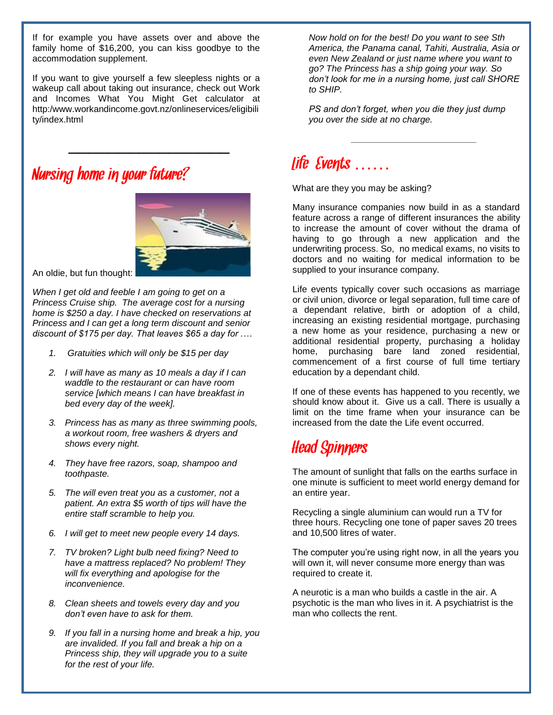If for example you have assets over and above the family home of \$16,200, you can kiss goodbye to the accommodation supplement.

If you want to give yourself a few sleepless nights or a wakeup call about taking out insurance, check out Work and Incomes What You Might Get calculator at http:/www.workandincome.govt.nz/onlineservices/eligibili ty/index.html

 $\mathcal{L}=\mathcal{L}=\mathcal{L}=\mathcal{L}=\mathcal{L}=\mathcal{L}=\mathcal{L}=\mathcal{L}=\mathcal{L}=\mathcal{L}=\mathcal{L}=\mathcal{L}=\mathcal{L}=\mathcal{L}=\mathcal{L}=\mathcal{L}=\mathcal{L}=\mathcal{L}=\mathcal{L}=\mathcal{L}=\mathcal{L}=\mathcal{L}=\mathcal{L}=\mathcal{L}=\mathcal{L}=\mathcal{L}=\mathcal{L}=\mathcal{L}=\mathcal{L}=\mathcal{L}=\mathcal{L}=\mathcal{L}=\mathcal{L}=\mathcal{L}=\mathcal{L}=\mathcal{L}=\mathcal{$ 

# Nursing home in your future?



An oldie, but fun thought:

*When I get old and feeble I am going to get on a Princess Cruise ship. The average cost for a nursing home is \$250 a day. I have checked on reservations at Princess and I can get a long term discount and senior discount of \$175 per day. That leaves \$65 a day for .…*

- *1. Gratuities which will only be \$15 per day*
- *2. I will have as many as 10 meals a day if I can waddle to the restaurant or can have room service [which means I can have breakfast in bed every day of the week].*
- *3. Princess has as many as three swimming pools, a workout room, free washers & dryers and shows every night.*
- *4. They have free razors, soap, shampoo and toothpaste.*
- *5. The will even treat you as a customer, not a patient. An extra \$5 worth of tips will have the entire staff scramble to help you.*
- *6. I will get to meet new people every 14 days.*
- *7. TV broken? Light bulb need fixing? Need to have a mattress replaced? No problem! They will fix everything and apologise for the inconvenience.*
- *8. Clean sheets and towels every day and you don't even have to ask for them.*
- *9. If you fall in a nursing home and break a hip, you are invalided. If you fall and break a hip on a Princess ship, they will upgrade you to a suite for the rest of your life.*

*Now hold on for the best! Do you want to see Sth America, the Panama canal, Tahiti, Australia, Asia or even New Zealand or just name where you want to go? The Princess has a ship going your way. So don't look for me in a nursing home, just call SHORE to SHIP.*

*PS and don't forget, when you die they just dump you over the side at no charge.*

*\_\_\_\_\_\_\_\_\_\_\_\_\_\_\_\_\_\_\_\_\_\_\_\_\_*

## Life Events ……

What are they you may be asking?

Many insurance companies now build in as a standard feature across a range of different insurances the ability to increase the amount of cover without the drama of having to go through a new application and the underwriting process. So, no medical exams, no visits to doctors and no waiting for medical information to be supplied to your insurance company.

Life events typically cover such occasions as marriage or civil union, divorce or legal separation, full time care of a dependant relative, birth or adoption of a child, increasing an existing residential mortgage, purchasing a new home as your residence, purchasing a new or additional residential property, purchasing a holiday home, purchasing bare land zoned residential, commencement of a first course of full time tertiary education by a dependant child.

If one of these events has happened to you recently, we should know about it. Give us a call. There is usually a limit on the time frame when your insurance can be increased from the date the Life event occurred.

### Head Spinners

The amount of sunlight that falls on the earths surface in one minute is sufficient to meet world energy demand for an entire year.

Recycling a single aluminium can would run a TV for three hours. Recycling one tone of paper saves 20 trees and 10,500 litres of water.

The computer you're using right now, in all the years you will own it, will never consume more energy than was required to create it.

A neurotic is a man who builds a castle in the air. A psychotic is the man who lives in it. A psychiatrist is the man who collects the rent.